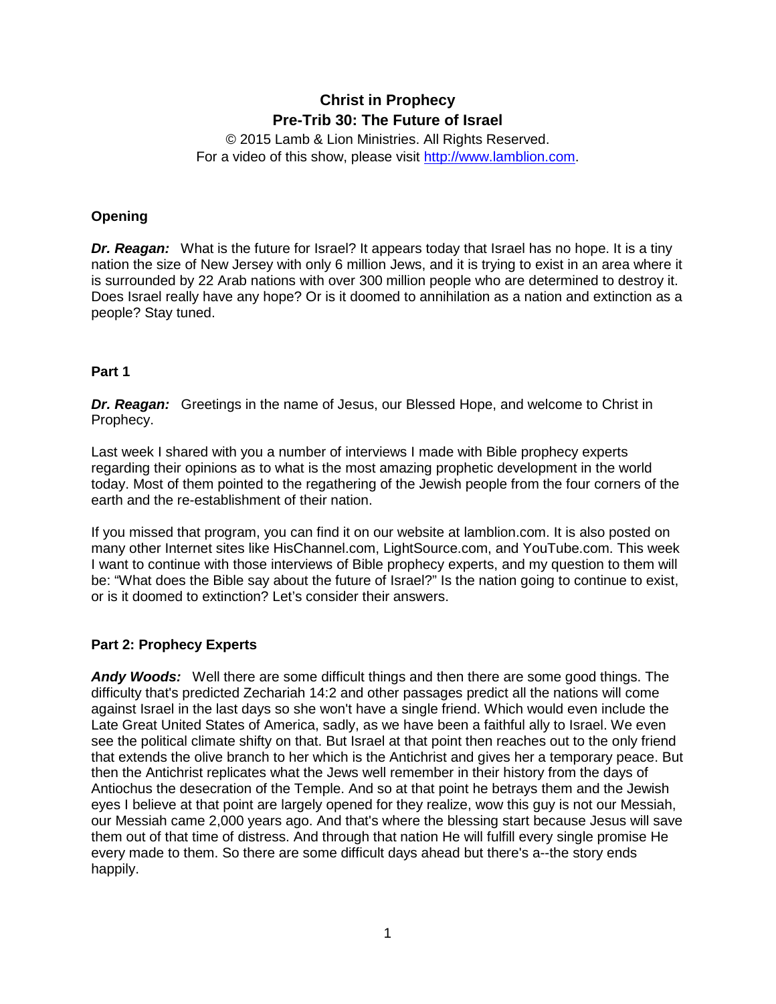# **Christ in Prophecy Pre-Trib 30: The Future of Israel**

© 2015 Lamb & Lion Ministries. All Rights Reserved. For a video of this show, please visit [http://www.lamblion.com.](http://www.lamblion.com/)

## **Opening**

*Dr. Reagan:* What is the future for Israel? It appears today that Israel has no hope. It is a tiny nation the size of New Jersey with only 6 million Jews, and it is trying to exist in an area where it is surrounded by 22 Arab nations with over 300 million people who are determined to destroy it. Does Israel really have any hope? Or is it doomed to annihilation as a nation and extinction as a people? Stay tuned.

## **Part 1**

**Dr. Reagan:** Greetings in the name of Jesus, our Blessed Hope, and welcome to Christ in Prophecy.

Last week I shared with you a number of interviews I made with Bible prophecy experts regarding their opinions as to what is the most amazing prophetic development in the world today. Most of them pointed to the regathering of the Jewish people from the four corners of the earth and the re-establishment of their nation.

If you missed that program, you can find it on our website at lamblion.com. It is also posted on many other Internet sites like HisChannel.com, LightSource.com, and YouTube.com. This week I want to continue with those interviews of Bible prophecy experts, and my question to them will be: "What does the Bible say about the future of Israel?" Is the nation going to continue to exist, or is it doomed to extinction? Let's consider their answers.

## **Part 2: Prophecy Experts**

*Andy Woods:* Well there are some difficult things and then there are some good things. The difficulty that's predicted Zechariah 14:2 and other passages predict all the nations will come against Israel in the last days so she won't have a single friend. Which would even include the Late Great United States of America, sadly, as we have been a faithful ally to Israel. We even see the political climate shifty on that. But Israel at that point then reaches out to the only friend that extends the olive branch to her which is the Antichrist and gives her a temporary peace. But then the Antichrist replicates what the Jews well remember in their history from the days of Antiochus the desecration of the Temple. And so at that point he betrays them and the Jewish eyes I believe at that point are largely opened for they realize, wow this guy is not our Messiah, our Messiah came 2,000 years ago. And that's where the blessing start because Jesus will save them out of that time of distress. And through that nation He will fulfill every single promise He every made to them. So there are some difficult days ahead but there's a--the story ends happily.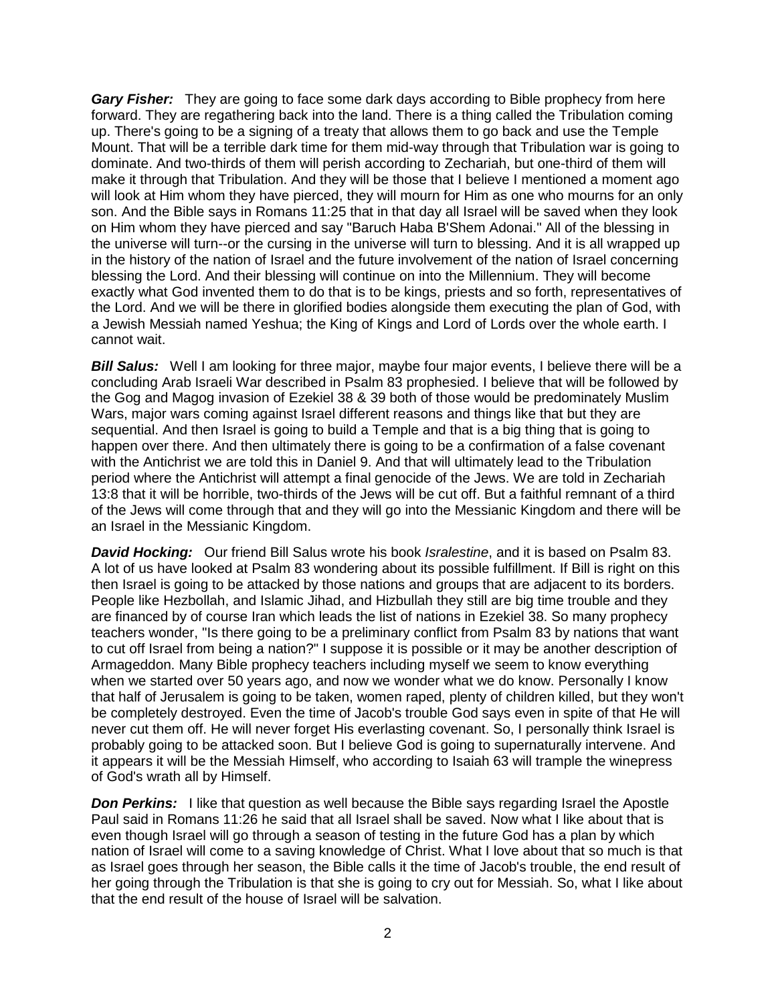*Gary Fisher:* They are going to face some dark days according to Bible prophecy from here forward. They are regathering back into the land. There is a thing called the Tribulation coming up. There's going to be a signing of a treaty that allows them to go back and use the Temple Mount. That will be a terrible dark time for them mid-way through that Tribulation war is going to dominate. And two-thirds of them will perish according to Zechariah, but one-third of them will make it through that Tribulation. And they will be those that I believe I mentioned a moment ago will look at Him whom they have pierced, they will mourn for Him as one who mourns for an only son. And the Bible says in Romans 11:25 that in that day all Israel will be saved when they look on Him whom they have pierced and say "Baruch Haba B'Shem Adonai." All of the blessing in the universe will turn--or the cursing in the universe will turn to blessing. And it is all wrapped up in the history of the nation of Israel and the future involvement of the nation of Israel concerning blessing the Lord. And their blessing will continue on into the Millennium. They will become exactly what God invented them to do that is to be kings, priests and so forth, representatives of the Lord. And we will be there in glorified bodies alongside them executing the plan of God, with a Jewish Messiah named Yeshua; the King of Kings and Lord of Lords over the whole earth. I cannot wait.

**Bill Salus:** Well I am looking for three major, maybe four major events, I believe there will be a concluding Arab Israeli War described in Psalm 83 prophesied. I believe that will be followed by the Gog and Magog invasion of Ezekiel 38 & 39 both of those would be predominately Muslim Wars, major wars coming against Israel different reasons and things like that but they are sequential. And then Israel is going to build a Temple and that is a big thing that is going to happen over there. And then ultimately there is going to be a confirmation of a false covenant with the Antichrist we are told this in Daniel 9. And that will ultimately lead to the Tribulation period where the Antichrist will attempt a final genocide of the Jews. We are told in Zechariah 13:8 that it will be horrible, two-thirds of the Jews will be cut off. But a faithful remnant of a third of the Jews will come through that and they will go into the Messianic Kingdom and there will be an Israel in the Messianic Kingdom.

*David Hocking:* Our friend Bill Salus wrote his book *Isralestine*, and it is based on Psalm 83. A lot of us have looked at Psalm 83 wondering about its possible fulfillment. If Bill is right on this then Israel is going to be attacked by those nations and groups that are adjacent to its borders. People like Hezbollah, and Islamic Jihad, and Hizbullah they still are big time trouble and they are financed by of course Iran which leads the list of nations in Ezekiel 38. So many prophecy teachers wonder, "Is there going to be a preliminary conflict from Psalm 83 by nations that want to cut off Israel from being a nation?" I suppose it is possible or it may be another description of Armageddon. Many Bible prophecy teachers including myself we seem to know everything when we started over 50 years ago, and now we wonder what we do know. Personally I know that half of Jerusalem is going to be taken, women raped, plenty of children killed, but they won't be completely destroyed. Even the time of Jacob's trouble God says even in spite of that He will never cut them off. He will never forget His everlasting covenant. So, I personally think Israel is probably going to be attacked soon. But I believe God is going to supernaturally intervene. And it appears it will be the Messiah Himself, who according to Isaiah 63 will trample the winepress of God's wrath all by Himself.

**Don Perkins:** I like that question as well because the Bible says regarding Israel the Apostle Paul said in Romans 11:26 he said that all Israel shall be saved. Now what I like about that is even though Israel will go through a season of testing in the future God has a plan by which nation of Israel will come to a saving knowledge of Christ. What I love about that so much is that as Israel goes through her season, the Bible calls it the time of Jacob's trouble, the end result of her going through the Tribulation is that she is going to cry out for Messiah. So, what I like about that the end result of the house of Israel will be salvation.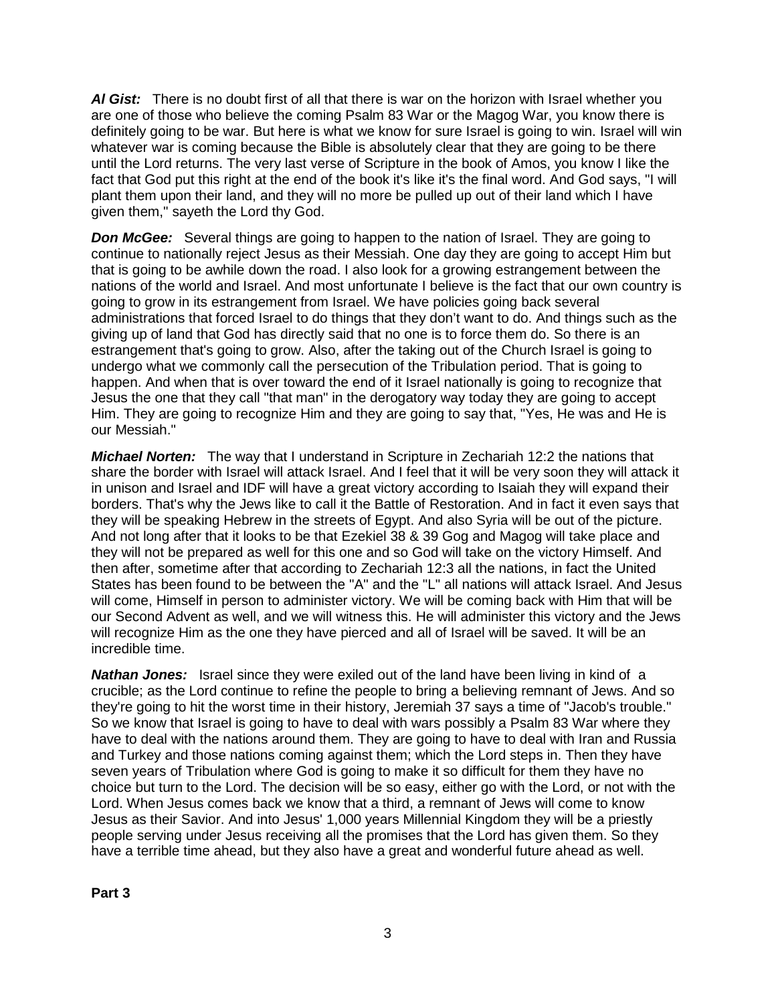*Al Gist:* There is no doubt first of all that there is war on the horizon with Israel whether you are one of those who believe the coming Psalm 83 War or the Magog War, you know there is definitely going to be war. But here is what we know for sure Israel is going to win. Israel will win whatever war is coming because the Bible is absolutely clear that they are going to be there until the Lord returns. The very last verse of Scripture in the book of Amos, you know I like the fact that God put this right at the end of the book it's like it's the final word. And God says, "I will plant them upon their land, and they will no more be pulled up out of their land which I have given them," sayeth the Lord thy God.

**Don McGee:** Several things are going to happen to the nation of Israel. They are going to continue to nationally reject Jesus as their Messiah. One day they are going to accept Him but that is going to be awhile down the road. I also look for a growing estrangement between the nations of the world and Israel. And most unfortunate I believe is the fact that our own country is going to grow in its estrangement from Israel. We have policies going back several administrations that forced Israel to do things that they don't want to do. And things such as the giving up of land that God has directly said that no one is to force them do. So there is an estrangement that's going to grow. Also, after the taking out of the Church Israel is going to undergo what we commonly call the persecution of the Tribulation period. That is going to happen. And when that is over toward the end of it Israel nationally is going to recognize that Jesus the one that they call "that man" in the derogatory way today they are going to accept Him. They are going to recognize Him and they are going to say that, "Yes, He was and He is our Messiah."

*Michael Norten:* The way that I understand in Scripture in Zechariah 12:2 the nations that share the border with Israel will attack Israel. And I feel that it will be very soon they will attack it in unison and Israel and IDF will have a great victory according to Isaiah they will expand their borders. That's why the Jews like to call it the Battle of Restoration. And in fact it even says that they will be speaking Hebrew in the streets of Egypt. And also Syria will be out of the picture. And not long after that it looks to be that Ezekiel 38 & 39 Gog and Magog will take place and they will not be prepared as well for this one and so God will take on the victory Himself. And then after, sometime after that according to Zechariah 12:3 all the nations, in fact the United States has been found to be between the "A" and the "L" all nations will attack Israel. And Jesus will come, Himself in person to administer victory. We will be coming back with Him that will be our Second Advent as well, and we will witness this. He will administer this victory and the Jews will recognize Him as the one they have pierced and all of Israel will be saved. It will be an incredible time.

**Nathan Jones:** Israel since they were exiled out of the land have been living in kind of a crucible; as the Lord continue to refine the people to bring a believing remnant of Jews. And so they're going to hit the worst time in their history, Jeremiah 37 says a time of "Jacob's trouble." So we know that Israel is going to have to deal with wars possibly a Psalm 83 War where they have to deal with the nations around them. They are going to have to deal with Iran and Russia and Turkey and those nations coming against them; which the Lord steps in. Then they have seven years of Tribulation where God is going to make it so difficult for them they have no choice but turn to the Lord. The decision will be so easy, either go with the Lord, or not with the Lord. When Jesus comes back we know that a third, a remnant of Jews will come to know Jesus as their Savior. And into Jesus' 1,000 years Millennial Kingdom they will be a priestly people serving under Jesus receiving all the promises that the Lord has given them. So they have a terrible time ahead, but they also have a great and wonderful future ahead as well.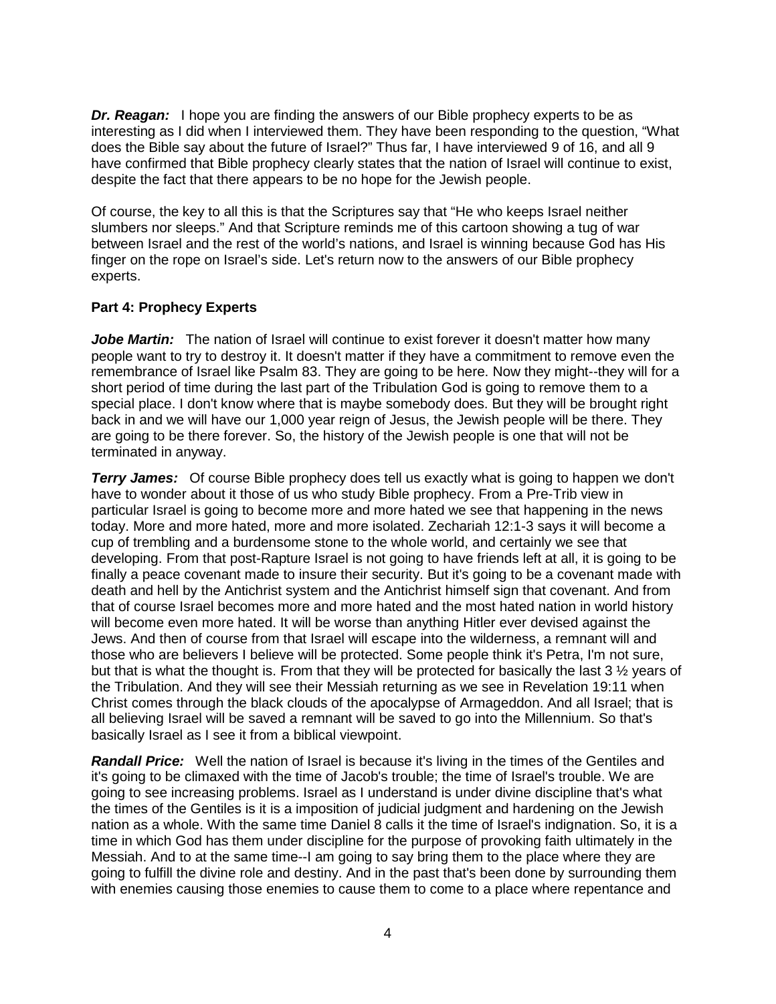*Dr. Reagan:* I hope you are finding the answers of our Bible prophecy experts to be as interesting as I did when I interviewed them. They have been responding to the question, "What does the Bible say about the future of Israel?" Thus far, I have interviewed 9 of 16, and all 9 have confirmed that Bible prophecy clearly states that the nation of Israel will continue to exist, despite the fact that there appears to be no hope for the Jewish people.

Of course, the key to all this is that the Scriptures say that "He who keeps Israel neither slumbers nor sleeps." And that Scripture reminds me of this cartoon showing a tug of war between Israel and the rest of the world's nations, and Israel is winning because God has His finger on the rope on Israel's side. Let's return now to the answers of our Bible prophecy experts.

## **Part 4: Prophecy Experts**

Jobe Martin: The nation of Israel will continue to exist forever it doesn't matter how many people want to try to destroy it. It doesn't matter if they have a commitment to remove even the remembrance of Israel like Psalm 83. They are going to be here. Now they might--they will for a short period of time during the last part of the Tribulation God is going to remove them to a special place. I don't know where that is maybe somebody does. But they will be brought right back in and we will have our 1,000 year reign of Jesus, the Jewish people will be there. They are going to be there forever. So, the history of the Jewish people is one that will not be terminated in anyway.

**Terry James:** Of course Bible prophecy does tell us exactly what is going to happen we don't have to wonder about it those of us who study Bible prophecy. From a Pre-Trib view in particular Israel is going to become more and more hated we see that happening in the news today. More and more hated, more and more isolated. Zechariah 12:1-3 says it will become a cup of trembling and a burdensome stone to the whole world, and certainly we see that developing. From that post-Rapture Israel is not going to have friends left at all, it is going to be finally a peace covenant made to insure their security. But it's going to be a covenant made with death and hell by the Antichrist system and the Antichrist himself sign that covenant. And from that of course Israel becomes more and more hated and the most hated nation in world history will become even more hated. It will be worse than anything Hitler ever devised against the Jews. And then of course from that Israel will escape into the wilderness, a remnant will and those who are believers I believe will be protected. Some people think it's Petra, I'm not sure, but that is what the thought is. From that they will be protected for basically the last 3 ½ years of the Tribulation. And they will see their Messiah returning as we see in Revelation 19:11 when Christ comes through the black clouds of the apocalypse of Armageddon. And all Israel; that is all believing Israel will be saved a remnant will be saved to go into the Millennium. So that's basically Israel as I see it from a biblical viewpoint.

*Randall Price:* Well the nation of Israel is because it's living in the times of the Gentiles and it's going to be climaxed with the time of Jacob's trouble; the time of Israel's trouble. We are going to see increasing problems. Israel as I understand is under divine discipline that's what the times of the Gentiles is it is a imposition of judicial judgment and hardening on the Jewish nation as a whole. With the same time Daniel 8 calls it the time of Israel's indignation. So, it is a time in which God has them under discipline for the purpose of provoking faith ultimately in the Messiah. And to at the same time--I am going to say bring them to the place where they are going to fulfill the divine role and destiny. And in the past that's been done by surrounding them with enemies causing those enemies to cause them to come to a place where repentance and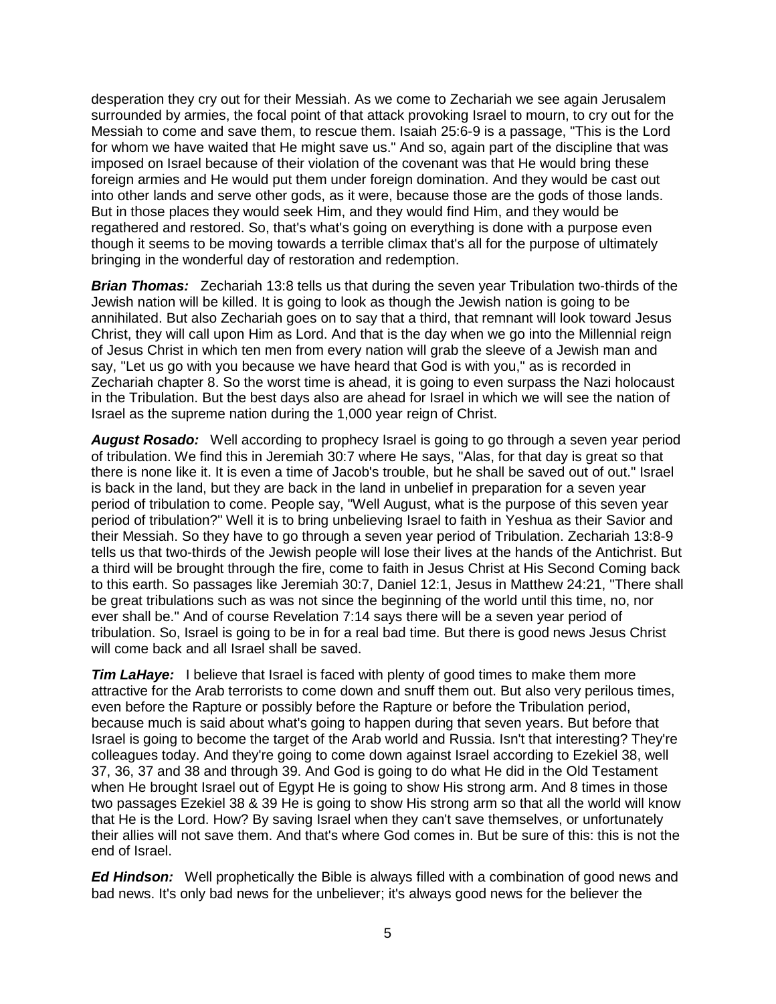desperation they cry out for their Messiah. As we come to Zechariah we see again Jerusalem surrounded by armies, the focal point of that attack provoking Israel to mourn, to cry out for the Messiah to come and save them, to rescue them. Isaiah 25:6-9 is a passage, "This is the Lord for whom we have waited that He might save us." And so, again part of the discipline that was imposed on Israel because of their violation of the covenant was that He would bring these foreign armies and He would put them under foreign domination. And they would be cast out into other lands and serve other gods, as it were, because those are the gods of those lands. But in those places they would seek Him, and they would find Him, and they would be regathered and restored. So, that's what's going on everything is done with a purpose even though it seems to be moving towards a terrible climax that's all for the purpose of ultimately bringing in the wonderful day of restoration and redemption.

**Brian Thomas:** Zechariah 13:8 tells us that during the seven year Tribulation two-thirds of the Jewish nation will be killed. It is going to look as though the Jewish nation is going to be annihilated. But also Zechariah goes on to say that a third, that remnant will look toward Jesus Christ, they will call upon Him as Lord. And that is the day when we go into the Millennial reign of Jesus Christ in which ten men from every nation will grab the sleeve of a Jewish man and say, "Let us go with you because we have heard that God is with you," as is recorded in Zechariah chapter 8. So the worst time is ahead, it is going to even surpass the Nazi holocaust in the Tribulation. But the best days also are ahead for Israel in which we will see the nation of Israel as the supreme nation during the 1,000 year reign of Christ.

*August Rosado:* Well according to prophecy Israel is going to go through a seven year period of tribulation. We find this in Jeremiah 30:7 where He says, "Alas, for that day is great so that there is none like it. It is even a time of Jacob's trouble, but he shall be saved out of out." Israel is back in the land, but they are back in the land in unbelief in preparation for a seven year period of tribulation to come. People say, "Well August, what is the purpose of this seven year period of tribulation?" Well it is to bring unbelieving Israel to faith in Yeshua as their Savior and their Messiah. So they have to go through a seven year period of Tribulation. Zechariah 13:8-9 tells us that two-thirds of the Jewish people will lose their lives at the hands of the Antichrist. But a third will be brought through the fire, come to faith in Jesus Christ at His Second Coming back to this earth. So passages like Jeremiah 30:7, Daniel 12:1, Jesus in Matthew 24:21, "There shall be great tribulations such as was not since the beginning of the world until this time, no, nor ever shall be." And of course Revelation 7:14 says there will be a seven year period of tribulation. So, Israel is going to be in for a real bad time. But there is good news Jesus Christ will come back and all Israel shall be saved.

*Tim LaHaye:* I believe that Israel is faced with plenty of good times to make them more attractive for the Arab terrorists to come down and snuff them out. But also very perilous times, even before the Rapture or possibly before the Rapture or before the Tribulation period, because much is said about what's going to happen during that seven years. But before that Israel is going to become the target of the Arab world and Russia. Isn't that interesting? They're colleagues today. And they're going to come down against Israel according to Ezekiel 38, well 37, 36, 37 and 38 and through 39. And God is going to do what He did in the Old Testament when He brought Israel out of Egypt He is going to show His strong arm. And 8 times in those two passages Ezekiel 38 & 39 He is going to show His strong arm so that all the world will know that He is the Lord. How? By saving Israel when they can't save themselves, or unfortunately their allies will not save them. And that's where God comes in. But be sure of this: this is not the end of Israel.

*Ed Hindson:* Well prophetically the Bible is always filled with a combination of good news and bad news. It's only bad news for the unbeliever; it's always good news for the believer the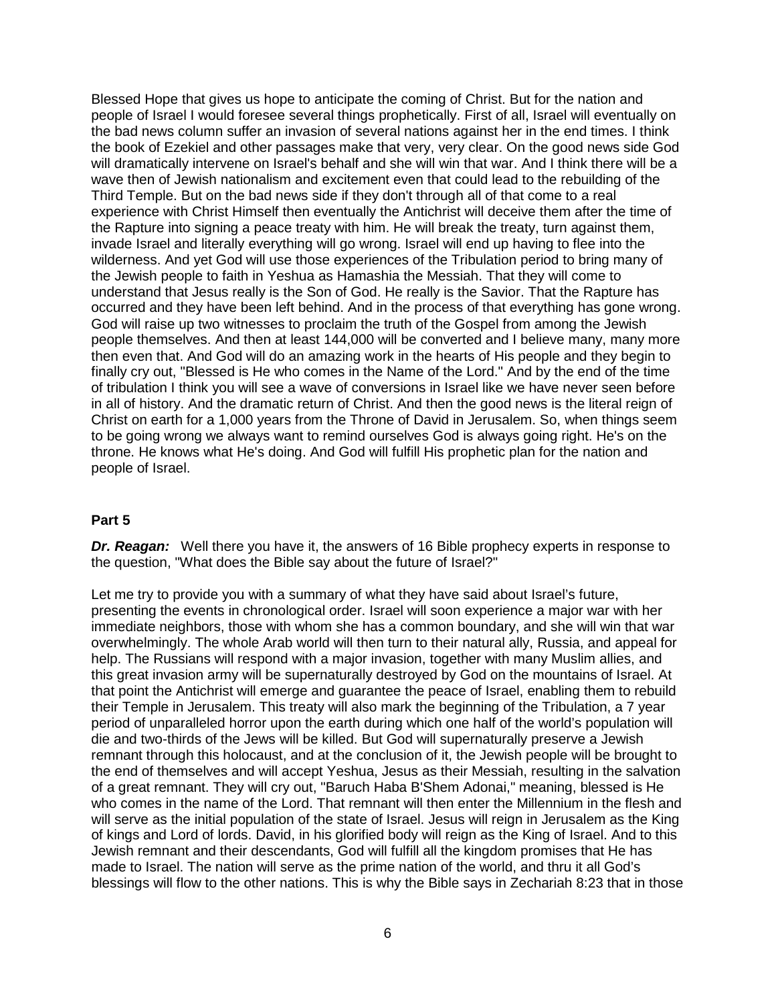Blessed Hope that gives us hope to anticipate the coming of Christ. But for the nation and people of Israel I would foresee several things prophetically. First of all, Israel will eventually on the bad news column suffer an invasion of several nations against her in the end times. I think the book of Ezekiel and other passages make that very, very clear. On the good news side God will dramatically intervene on Israel's behalf and she will win that war. And I think there will be a wave then of Jewish nationalism and excitement even that could lead to the rebuilding of the Third Temple. But on the bad news side if they don't through all of that come to a real experience with Christ Himself then eventually the Antichrist will deceive them after the time of the Rapture into signing a peace treaty with him. He will break the treaty, turn against them, invade Israel and literally everything will go wrong. Israel will end up having to flee into the wilderness. And yet God will use those experiences of the Tribulation period to bring many of the Jewish people to faith in Yeshua as Hamashia the Messiah. That they will come to understand that Jesus really is the Son of God. He really is the Savior. That the Rapture has occurred and they have been left behind. And in the process of that everything has gone wrong. God will raise up two witnesses to proclaim the truth of the Gospel from among the Jewish people themselves. And then at least 144,000 will be converted and I believe many, many more then even that. And God will do an amazing work in the hearts of His people and they begin to finally cry out, "Blessed is He who comes in the Name of the Lord." And by the end of the time of tribulation I think you will see a wave of conversions in Israel like we have never seen before in all of history. And the dramatic return of Christ. And then the good news is the literal reign of Christ on earth for a 1,000 years from the Throne of David in Jerusalem. So, when things seem to be going wrong we always want to remind ourselves God is always going right. He's on the throne. He knows what He's doing. And God will fulfill His prophetic plan for the nation and people of Israel.

#### **Part 5**

*Dr. Reagan:* Well there you have it, the answers of 16 Bible prophecy experts in response to the question, "What does the Bible say about the future of Israel?"

Let me try to provide you with a summary of what they have said about Israel's future, presenting the events in chronological order. Israel will soon experience a major war with her immediate neighbors, those with whom she has a common boundary, and she will win that war overwhelmingly. The whole Arab world will then turn to their natural ally, Russia, and appeal for help. The Russians will respond with a major invasion, together with many Muslim allies, and this great invasion army will be supernaturally destroyed by God on the mountains of Israel. At that point the Antichrist will emerge and guarantee the peace of Israel, enabling them to rebuild their Temple in Jerusalem. This treaty will also mark the beginning of the Tribulation, a 7 year period of unparalleled horror upon the earth during which one half of the world's population will die and two-thirds of the Jews will be killed. But God will supernaturally preserve a Jewish remnant through this holocaust, and at the conclusion of it, the Jewish people will be brought to the end of themselves and will accept Yeshua, Jesus as their Messiah, resulting in the salvation of a great remnant. They will cry out, "Baruch Haba B'Shem Adonai," meaning, blessed is He who comes in the name of the Lord. That remnant will then enter the Millennium in the flesh and will serve as the initial population of the state of Israel. Jesus will reign in Jerusalem as the King of kings and Lord of lords. David, in his glorified body will reign as the King of Israel. And to this Jewish remnant and their descendants, God will fulfill all the kingdom promises that He has made to Israel. The nation will serve as the prime nation of the world, and thru it all God's blessings will flow to the other nations. This is why the Bible says in Zechariah 8:23 that in those